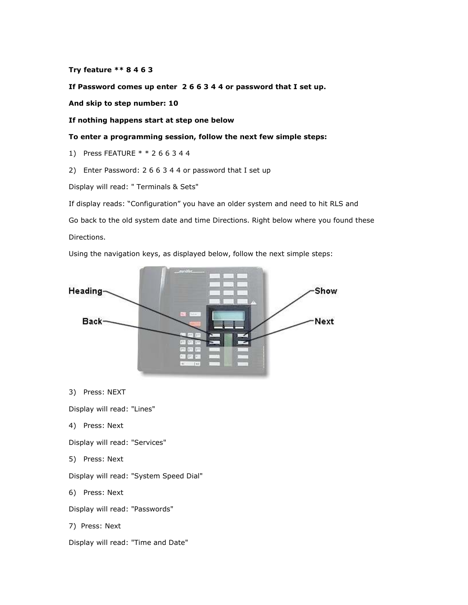Try feature \*\* 8 4 6 3

If Password comes up enter 2 6 6 3 4 4 or password that I set up.

And skip to step number: 10

If nothing happens start at step one below

To enter a programming session, follow the next few simple steps:

1) Press FEATURE \* \* 2 6 6 3 4 4

2) Enter Password: 2 6 6 3 4 4 or password that I set up

Display will read: " Terminals & Sets"

If display reads: "Configuration" you have an older system and need to hit RLS and Go back to the old system date and time Directions. Right below where you found these Directions.

Using the navigation keys, as displayed below, follow the next simple steps:



3) Press: NEXT

Display will read: "Lines"

4) Press: Next

Display will read: "Services"

5) Press: Next

Display will read: "System Speed Dial"

6) Press: Next

Display will read: "Passwords"

7) Press: Next

Display will read: "Time and Date"